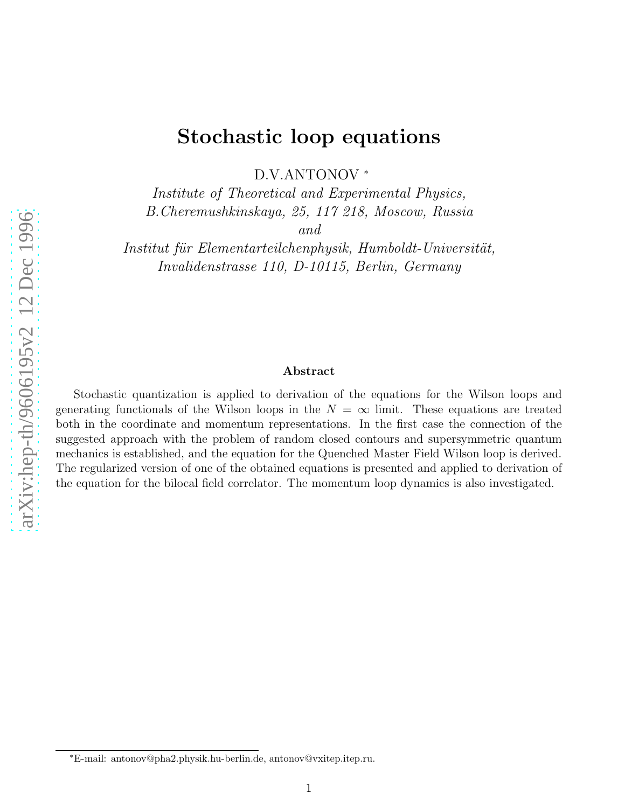# Stochastic loop equations

D.V.ANTONOV ∗

Institute of Theoretical and Experimental Physics, B.Cheremushkinskaya, 25, 117 218, Moscow, Russia

and

Institut für Elementarteilchenphysik, Humboldt-Universität, Invalidenstrasse 110, D-10115, Berlin, Germany

#### Abstract

Stochastic quantization is applied to derivation of the equations for the Wilson loops and generating functionals of the Wilson loops in the  $N = \infty$  limit. These equations are treated both in the coordinate and momentum representations. In the first case the connection of the suggested approach with the problem of random closed contours and supersymmetric quantum mechanics is established, and the equation for the Quenched Master Field Wilson loop is derived. The regularized version of one of the obtained equations is presented and applied to derivation of the equation for the bilocal field correlator. The momentum loop dynamics is also investigated.

<sup>∗</sup>E-mail: antonov@pha2.physik.hu-berlin.de, antonov@vxitep.itep.ru.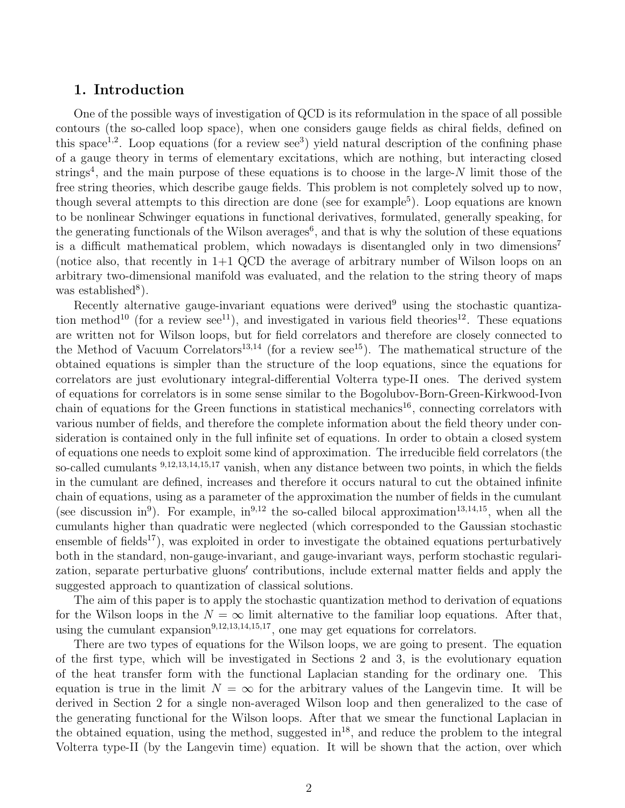## 1. Introduction

One of the possible ways of investigation of QCD is its reformulation in the space of all possible contours (the so-called loop space), when one considers gauge fields as chiral fields, defined on this space<sup>1,2</sup>. Loop equations (for a review see<sup>3</sup>) yield natural description of the confining phase of a gauge theory in terms of elementary excitations, which are nothing, but interacting closed strings<sup>4</sup>, and the main purpose of these equations is to choose in the large-N limit those of the free string theories, which describe gauge fields. This problem is not completely solved up to now, though several attempts to this direction are done (see for example<sup>5</sup>). Loop equations are known to be nonlinear Schwinger equations in functional derivatives, formulated, generally speaking, for the generating functionals of the Wilson averages<sup>6</sup>, and that is why the solution of these equations is a difficult mathematical problem, which nowadays is disentangled only in two dimensions<sup>7</sup> (notice also, that recently in 1+1 QCD the average of arbitrary number of Wilson loops on an arbitrary two-dimensional manifold was evaluated, and the relation to the string theory of maps was established<sup>8</sup>).

Recently alternative gauge-invariant equations were derived<sup>9</sup> using the stochastic quantization method<sup>10</sup> (for a review see<sup>11</sup>), and investigated in various field theories<sup>12</sup>. These equations are written not for Wilson loops, but for field correlators and therefore are closely connected to the Method of Vacuum Correlators<sup>13,14</sup> (for a review see<sup>15</sup>). The mathematical structure of the obtained equations is simpler than the structure of the loop equations, since the equations for correlators are just evolutionary integral-differential Volterra type-II ones. The derived system of equations for correlators is in some sense similar to the Bogolubov-Born-Green-Kirkwood-Ivon chain of equations for the Green functions in statistical mechanics<sup>16</sup>, connecting correlators with various number of fields, and therefore the complete information about the field theory under consideration is contained only in the full infinite set of equations. In order to obtain a closed system of equations one needs to exploit some kind of approximation. The irreducible field correlators (the so-called cumulants <sup>9</sup>,12,13,14,15,<sup>17</sup> vanish, when any distance between two points, in which the fields in the cumulant are defined, increases and therefore it occurs natural to cut the obtained infinite chain of equations, using as a parameter of the approximation the number of fields in the cumulant (see discussion in<sup>9</sup>). For example, in<sup>9,12</sup> the so-called bilocal approximation<sup>13,14,15</sup>, when all the cumulants higher than quadratic were neglected (which corresponded to the Gaussian stochastic ensemble of fields<sup>17</sup>), was exploited in order to investigate the obtained equations perturbatively both in the standard, non-gauge-invariant, and gauge-invariant ways, perform stochastic regularization, separate perturbative gluons′ contributions, include external matter fields and apply the suggested approach to quantization of classical solutions.

The aim of this paper is to apply the stochastic quantization method to derivation of equations for the Wilson loops in the  $N = \infty$  limit alternative to the familiar loop equations. After that, using the cumulant expansion<sup>9,12,13,14,15,17</sup>, one may get equations for correlators.

There are two types of equations for the Wilson loops, we are going to present. The equation of the first type, which will be investigated in Sections 2 and 3, is the evolutionary equation of the heat transfer form with the functional Laplacian standing for the ordinary one. This equation is true in the limit  $N = \infty$  for the arbitrary values of the Langevin time. It will be derived in Section 2 for a single non-averaged Wilson loop and then generalized to the case of the generating functional for the Wilson loops. After that we smear the functional Laplacian in the obtained equation, using the method, suggested  $\text{in}^{18}$ , and reduce the problem to the integral Volterra type-II (by the Langevin time) equation. It will be shown that the action, over which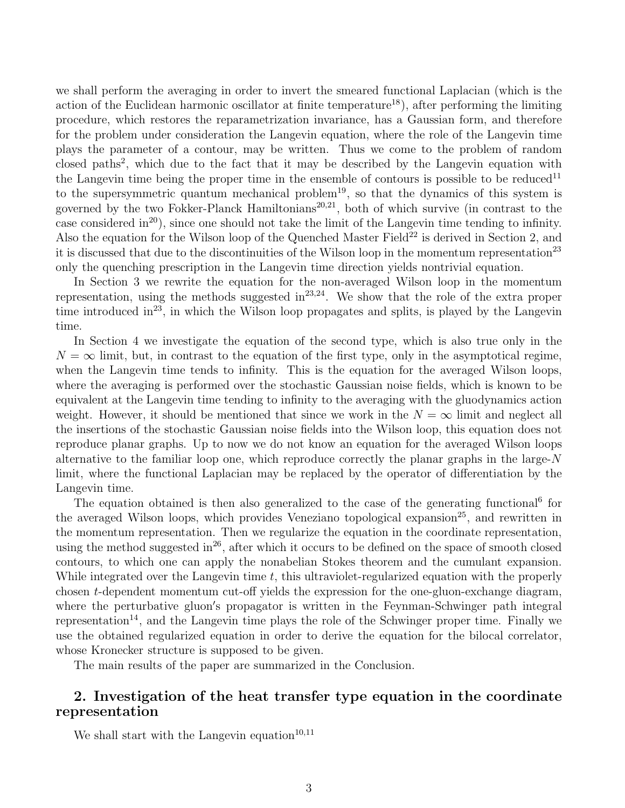we shall perform the averaging in order to invert the smeared functional Laplacian (which is the action of the Euclidean harmonic oscillator at finite temperature<sup>18</sup>), after performing the limiting procedure, which restores the reparametrization invariance, has a Gaussian form, and therefore for the problem under consideration the Langevin equation, where the role of the Langevin time plays the parameter of a contour, may be written. Thus we come to the problem of random closed paths<sup>2</sup>, which due to the fact that it may be described by the Langevin equation with the Langevin time being the proper time in the ensemble of contours is possible to be reduced<sup>11</sup> to the supersymmetric quantum mechanical problem<sup>19</sup>, so that the dynamics of this system is governed by the two Fokker-Planck Hamiltonians<sup>20,21</sup>, both of which survive (in contrast to the case considered in<sup>20</sup>), since one should not take the limit of the Langevin time tending to infinity. Also the equation for the Wilson loop of the Quenched Master Field<sup>22</sup> is derived in Section 2, and it is discussed that due to the discontinuities of the Wilson loop in the momentum representation<sup>23</sup> only the quenching prescription in the Langevin time direction yields nontrivial equation.

In Section 3 we rewrite the equation for the non-averaged Wilson loop in the momentum representation, using the methods suggested in $^{23,24}$ . We show that the role of the extra proper time introduced in<sup>23</sup>, in which the Wilson loop propagates and splits, is played by the Langevin time.

In Section 4 we investigate the equation of the second type, which is also true only in the  $N = \infty$  limit, but, in contrast to the equation of the first type, only in the asymptotical regime, when the Langevin time tends to infinity. This is the equation for the averaged Wilson loops, where the averaging is performed over the stochastic Gaussian noise fields, which is known to be equivalent at the Langevin time tending to infinity to the averaging with the gluodynamics action weight. However, it should be mentioned that since we work in the  $N = \infty$  limit and neglect all the insertions of the stochastic Gaussian noise fields into the Wilson loop, this equation does not reproduce planar graphs. Up to now we do not know an equation for the averaged Wilson loops alternative to the familiar loop one, which reproduce correctly the planar graphs in the large- $N$ limit, where the functional Laplacian may be replaced by the operator of differentiation by the Langevin time.

The equation obtained is then also generalized to the case of the generating functional<sup>6</sup> for the averaged Wilson loops, which provides Veneziano topological expansion<sup>25</sup>, and rewritten in the momentum representation. Then we regularize the equation in the coordinate representation, using the method suggested in<sup>26</sup>, after which it occurs to be defined on the space of smooth closed contours, to which one can apply the nonabelian Stokes theorem and the cumulant expansion. While integrated over the Langevin time  $t$ , this ultraviolet-regularized equation with the properly chosen t-dependent momentum cut-off yields the expression for the one-gluon-exchange diagram, where the perturbative gluon′ s propagator is written in the Feynman-Schwinger path integral representation<sup>14</sup>, and the Langevin time plays the role of the Schwinger proper time. Finally we use the obtained regularized equation in order to derive the equation for the bilocal correlator, whose Kronecker structure is supposed to be given.

The main results of the paper are summarized in the Conclusion.

# 2. Investigation of the heat transfer type equation in the coordinate representation

We shall start with the Langevin equation<sup>10,11</sup>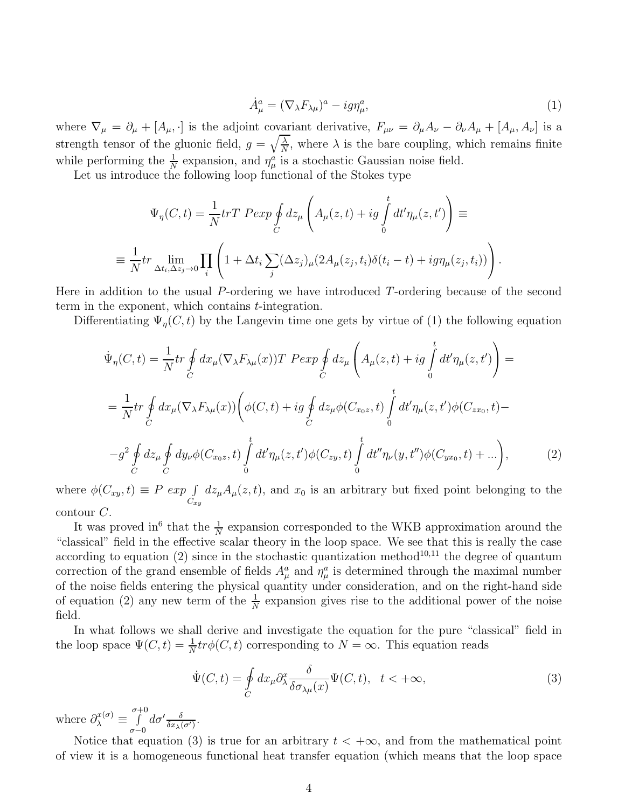$$
\dot{A}^a_\mu = (\nabla_\lambda F_{\lambda \mu})^a - ig \eta^a_\mu,\tag{1}
$$

where  $\nabla_{\mu} = \partial_{\mu} + [A_{\mu}, \cdot]$  is the adjoint covariant derivative,  $F_{\mu\nu} = \partial_{\mu}A_{\nu} - \partial_{\nu}A_{\mu} + [A_{\mu}, A_{\nu}]$  is a strength tensor of the gluonic field,  $g = \sqrt{\frac{\lambda}{N}}$  $\frac{\lambda}{N}$ , where  $\lambda$  is the bare coupling, which remains finite while performing the  $\frac{1}{N}$  expansion, and  $\eta^a_\mu$  is a stochastic Gaussian noise field.

Let us introduce the following loop functional of the Stokes type

$$
\Psi_{\eta}(C, t) = \frac{1}{N} tr T \operatorname{P} exp \oint_{C} dz_{\mu} \left( A_{\mu}(z, t) + ig \int_{0}^{t} dt' \eta_{\mu}(z, t') \right) \equiv
$$
\n
$$
\equiv \frac{1}{N} tr \lim_{\Delta t_{i}, \Delta z_{j} \to 0} \prod_{i} \left( 1 + \Delta t_{i} \sum_{j} (\Delta z_{j})_{\mu} (2A_{\mu}(z_{j}, t_{i}) \delta(t_{i} - t) + ig \eta_{\mu}(z_{j}, t_{i})) \right).
$$

Here in addition to the usual P-ordering we have introduced T-ordering because of the second term in the exponent, which contains  $t$ -integration.

Differentiating  $\Psi_{\eta}(C, t)$  by the Langevin time one gets by virtue of (1) the following equation

$$
\dot{\Psi}_{\eta}(C,t) = \frac{1}{N}tr \oint_{C} dx_{\mu} (\nabla_{\lambda} F_{\lambda \mu}(x)) T \ P exp \oint_{C} dz_{\mu} \left( A_{\mu}(z,t) + ig \int_{0}^{t} dt' \eta_{\mu}(z,t') \right) =
$$
\n
$$
= \frac{1}{N} tr \oint_{C} dx_{\mu} (\nabla_{\lambda} F_{\lambda \mu}(x)) \left( \phi(C,t) + ig \oint_{C} dz_{\mu} \phi(C_{x_{0}z},t) \int_{0}^{t} dt' \eta_{\mu}(z,t') \phi(C_{zx_{0}},t) -
$$
\n
$$
-g^{2} \oint_{C} dz_{\mu} \oint_{C} dy_{\nu} \phi(C_{x_{0}z},t) \int_{0}^{t} dt' \eta_{\mu}(z,t') \phi(C_{zy},t) \int_{0}^{t} dt'' \eta_{\nu}(y,t'') \phi(C_{yx_{0}},t) + ... \right),
$$
\n(2)

where  $\phi(C_{xy}, t) \equiv P \exp \int_{C_{xy}}$  $dz_{\mu}A_{\mu}(z, t)$ , and  $x_0$  is an arbitrary but fixed point belonging to the contour  $C$ .

It was proved in<sup>6</sup> that the  $\frac{1}{N}$  expansion corresponded to the WKB approximation around the "classical" field in the effective scalar theory in the loop space. We see that this is really the case according to equation  $(2)$  since in the stochastic quantization method<sup>10,11</sup> the degree of quantum correction of the grand ensemble of fields  $A^a_\mu$  and  $\eta^a_\mu$  is determined through the maximal number of the noise fields entering the physical quantity under consideration, and on the right-hand side of equation (2) any new term of the  $\frac{1}{N}$  expansion gives rise to the additional power of the noise field.

In what follows we shall derive and investigate the equation for the pure "classical" field in the loop space  $\Psi(C, t) = \frac{1}{N} tr \phi(C, t)$  corresponding to  $N = \infty$ . This equation reads

$$
\dot{\Psi}(C,t) = \oint_C dx_\mu \partial_\lambda^x \frac{\delta}{\delta \sigma_{\lambda \mu}(x)} \Psi(C,t), \quad t < +\infty,
$$
\n(3)

where  $\partial_{\lambda}^{x(\sigma)} \equiv$ σ $\int_0^{+0}$ σ−0  $d\sigma' \frac{\delta}{\delta x_\lambda(\sigma')}$ .

Notice that equation (3) is true for an arbitrary  $t < +\infty$ , and from the mathematical point of view it is a homogeneous functional heat transfer equation (which means that the loop space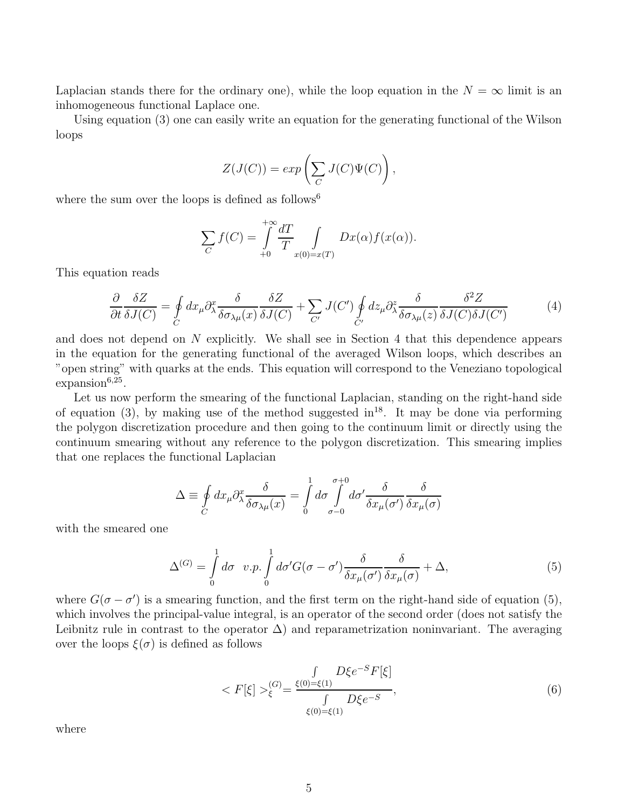Laplacian stands there for the ordinary one), while the loop equation in the  $N = \infty$  limit is an inhomogeneous functional Laplace one.

Using equation (3) one can easily write an equation for the generating functional of the Wilson loops

$$
Z(J(C)) = exp\left(\sum_C J(C)\Psi(C)\right),\,
$$

where the sum over the loops is defined as follows<sup>6</sup>

$$
\sum_{C} f(C) = \int_{+0}^{+\infty} \frac{dT}{T} \int_{x(0) = x(T)} Dx(\alpha) f(x(\alpha)).
$$

This equation reads

$$
\frac{\partial}{\partial t} \frac{\delta Z}{\delta J(C)} = \oint_C dx_\mu \partial_\lambda^x \frac{\delta}{\delta \sigma_{\lambda \mu}(x)} \frac{\delta Z}{\delta J(C)} + \sum_{C'} J(C') \oint_{C'} dz_\mu \partial_\lambda^z \frac{\delta}{\delta \sigma_{\lambda \mu}(z)} \frac{\delta^2 Z}{\delta J(C) \delta J(C')} \tag{4}
$$

and does not depend on N explicitly. We shall see in Section 4 that this dependence appears in the equation for the generating functional of the averaged Wilson loops, which describes an "open string" with quarks at the ends. This equation will correspond to the Veneziano topological  $expansion^{6,25}$ .

Let us now perform the smearing of the functional Laplacian, standing on the right-hand side of equation (3), by making use of the method suggested in<sup>18</sup>. It may be done via performing the polygon discretization procedure and then going to the continuum limit or directly using the continuum smearing without any reference to the polygon discretization. This smearing implies that one replaces the functional Laplacian

$$
\Delta \equiv \oint_C dx_\mu \partial_\lambda^x \frac{\delta}{\delta \sigma_{\lambda \mu}(x)} = \int_0^1 d\sigma \int_{\sigma - 0}^{\sigma + 0} d\sigma' \frac{\delta}{\delta x_\mu(\sigma')} \frac{\delta}{\delta x_\mu(\sigma)}
$$

with the smeared one

$$
\Delta^{(G)} = \int_{0}^{1} d\sigma \ v.p. \int_{0}^{1} d\sigma' G(\sigma - \sigma') \frac{\delta}{\delta x_{\mu}(\sigma')} \frac{\delta}{\delta x_{\mu}(\sigma)} + \Delta,
$$
\n(5)

where  $G(\sigma - \sigma')$  is a smearing function, and the first term on the right-hand side of equation (5), which involves the principal-value integral, is an operator of the second order (does not satisfy the Leibnitz rule in contrast to the operator  $\Delta$ ) and reparametrization noninvariant. The averaging over the loops  $\xi(\sigma)$  is defined as follows

$$
\langle F[\xi] \rangle_{\xi}^{(G)} = \frac{\int_{\xi(0) = \xi(1)} D\xi e^{-S} F[\xi]}{\int_{\xi(0) = \xi(1)} D\xi e^{-S}},\tag{6}
$$

where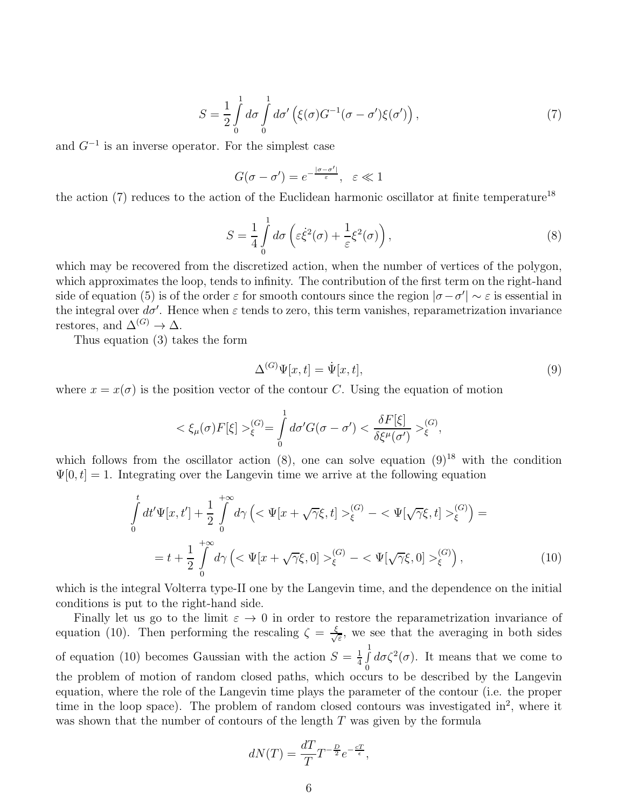$$
S = \frac{1}{2} \int_{0}^{1} d\sigma \int_{0}^{1} d\sigma' \left( \xi(\sigma) G^{-1}(\sigma - \sigma') \xi(\sigma') \right), \tag{7}
$$

and  $G^{-1}$  is an inverse operator. For the simplest case

$$
G(\sigma - \sigma') = e^{-\frac{|\sigma - \sigma'|}{\varepsilon}}, \quad \varepsilon \ll 1
$$

the action (7) reduces to the action of the Euclidean harmonic oscillator at finite temperature<sup>18</sup>

$$
S = \frac{1}{4} \int_{0}^{1} d\sigma \left( \varepsilon \dot{\xi}^{2}(\sigma) + \frac{1}{\varepsilon} \xi^{2}(\sigma) \right), \tag{8}
$$

which may be recovered from the discretized action, when the number of vertices of the polygon, which approximates the loop, tends to infinity. The contribution of the first term on the right-hand side of equation (5) is of the order  $\varepsilon$  for smooth contours since the region  $|\sigma - \sigma'| \sim \varepsilon$  is essential in the integral over  $d\sigma'$ . Hence when  $\varepsilon$  tends to zero, this term vanishes, reparametrization invariance restores, and  $\Delta^{(G)} \to \Delta$ .

Thus equation (3) takes the form

$$
\Delta^{(G)}\Psi[x,t] = \dot{\Psi}[x,t],\tag{9}
$$

where  $x = x(\sigma)$  is the position vector of the contour C. Using the equation of motion

$$
\langle \xi_{\mu}(\sigma) F[\xi] \rangle_{\xi}^{(G)} = \int_{0}^{1} d\sigma' G(\sigma - \sigma') \langle \frac{\delta F[\xi]}{\delta \xi^{\mu}(\sigma')} \rangle_{\xi}^{(G)},
$$

which follows from the oscillator action  $(8)$ , one can solve equation  $(9)^{18}$  with the condition  $\Psi[0, t] = 1$ . Integrating over the Langevin time we arrive at the following equation

$$
\int_{0}^{t} dt' \Psi[x, t'] + \frac{1}{2} \int_{0}^{+\infty} d\gamma \left( \langle \Psi[x + \sqrt{\gamma} \xi, t] \rangle_{\xi}^{(G)} - \langle \Psi[\sqrt{\gamma} \xi, t] \rangle_{\xi}^{(G)} \right) =
$$
\n
$$
= t + \frac{1}{2} \int_{0}^{+\infty} d\gamma \left( \langle \Psi[x + \sqrt{\gamma} \xi, 0] \rangle_{\xi}^{(G)} - \langle \Psi[\sqrt{\gamma} \xi, 0] \rangle_{\xi}^{(G)} \right), \tag{10}
$$

which is the integral Volterra type-II one by the Langevin time, and the dependence on the initial conditions is put to the right-hand side.

Finally let us go to the limit  $\varepsilon \to 0$  in order to restore the reparametrization invariance of equation (10). Then performing the rescaling  $\zeta = \frac{\xi}{\sqrt{2}}$  $\frac{1}{\epsilon}$ , we see that the averaging in both sides of equation (10) becomes Gaussian with the action  $S = \frac{1}{4}$  $\frac{1}{4}$  $\int_{0}^{1}$  $\boldsymbol{0}$  $d\sigma\zeta^2(\sigma)$ . It means that we come to the problem of motion of random closed paths, which occurs to be described by the Langevin equation, where the role of the Langevin time plays the parameter of the contour (i.e. the proper time in the loop space). The problem of random closed contours was investigated in<sup>2</sup>, where it was shown that the number of contours of the length T was given by the formula

$$
dN(T) = \frac{dT}{T}T^{-\frac{D}{2}}e^{-\frac{cT}{\epsilon}},
$$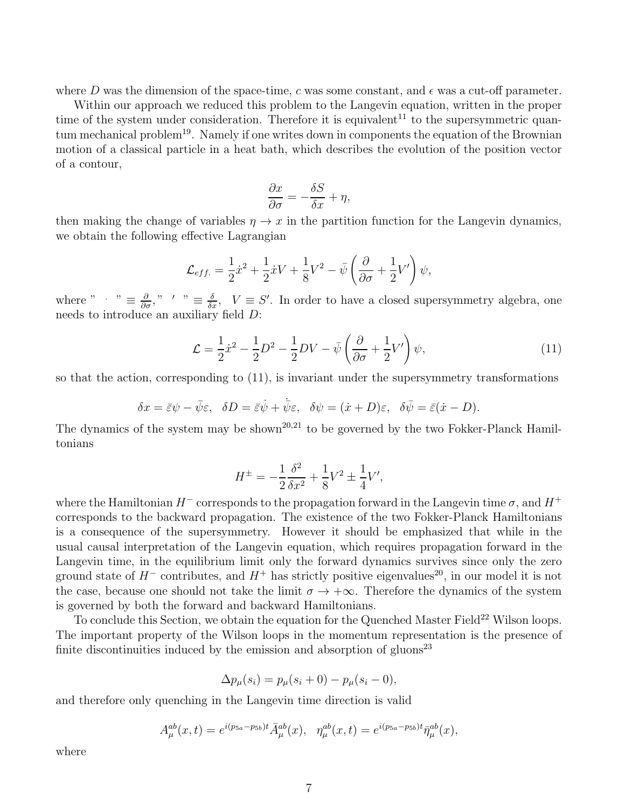where D was the dimension of the space-time, c was some constant, and  $\epsilon$  was a cut-off parameter.

Within our approach we reduced this problem to the Langevin equation, written in the proper time of the system under consideration. Therefore it is equivalent<sup>11</sup> to the supersymmetric quantum mechanical problem<sup>19</sup>. Namely if one writes down in components the equation of the Brownian motion of a classical particle in a heat bath, which describes the evolution of the position vector of a contour,

$$
\frac{\partial x}{\partial \sigma} = -\frac{\delta S}{\delta x} + \eta,
$$

then making the change of variables  $\eta \to x$  in the partition function for the Langevin dynamics, we obtain the following effective Lagrangian

$$
\mathcal{L}_{eff.} = \frac{1}{2}\dot{x}^2 + \frac{1}{2}\dot{x}V + \frac{1}{8}V^2 - \bar{\psi}\left(\frac{\partial}{\partial\sigma} + \frac{1}{2}V'\right)\psi,
$$

where "  $\therefore$  "  $\equiv \frac{\partial}{\partial \sigma}$ ," ' "  $\equiv \frac{\delta}{\delta x}$ ,  $V \equiv S'$ . In order to have a closed supersymmetry algebra, one needs to introduce an auxiliary field D:

$$
\mathcal{L} = \frac{1}{2}\dot{x}^2 - \frac{1}{2}D^2 - \frac{1}{2}DV - \bar{\psi}\left(\frac{\partial}{\partial\sigma} + \frac{1}{2}V'\right)\psi,\tag{11}
$$

so that the action, corresponding to (11), is invariant under the supersymmetry transformations

$$
\delta x = \bar{\varepsilon}\psi - \bar{\psi}\varepsilon, \quad \delta D = \bar{\varepsilon}\dot{\psi} + \bar{\psi}\varepsilon, \quad \delta \psi = (\dot{x} + D)\varepsilon, \quad \delta \bar{\psi} = \bar{\varepsilon}(\dot{x} - D).
$$

The dynamics of the system may be shown<sup>20,21</sup> to be governed by the two Fokker-Planck Hamiltonians

$$
H^{\pm} = -\frac{1}{2}\frac{\delta^2}{\delta x^2} + \frac{1}{8}V^2 \pm \frac{1}{4}V',
$$

where the Hamiltonian  $H^-$  corresponds to the propagation forward in the Langevin time  $\sigma$ , and  $H^+$ corresponds to the backward propagation. The existence of the two Fokker-Planck Hamiltonians is a consequence of the supersymmetry. However it should be emphasized that while in the usual causal interpretation of the Langevin equation, which requires propagation forward in the Langevin time, in the equilibrium limit only the forward dynamics survives since only the zero ground state of  $H^-$  contributes, and  $H^+$  has strictly positive eigenvalues<sup>20</sup>, in our model it is not the case, because one should not take the limit  $\sigma \to +\infty$ . Therefore the dynamics of the system is governed by both the forward and backward Hamiltonians.

To conclude this Section, we obtain the equation for the Quenched Master Field<sup>22</sup> Wilson loops. The important property of the Wilson loops in the momentum representation is the presence of finite discontinuities induced by the emission and absorption of gluons<sup>23</sup>

$$
\Delta p_{\mu}(s_i) = p_{\mu}(s_i + 0) - p_{\mu}(s_i - 0),
$$

and therefore only quenching in the Langevin time direction is valid

$$
A_{\mu}^{ab}(x,t) = e^{i(p_{5a} - p_{5b})t} \bar{A}_{\mu}^{ab}(x), \quad \eta_{\mu}^{ab}(x,t) = e^{i(p_{5a} - p_{5b})t} \bar{\eta}_{\mu}^{ab}(x),
$$

where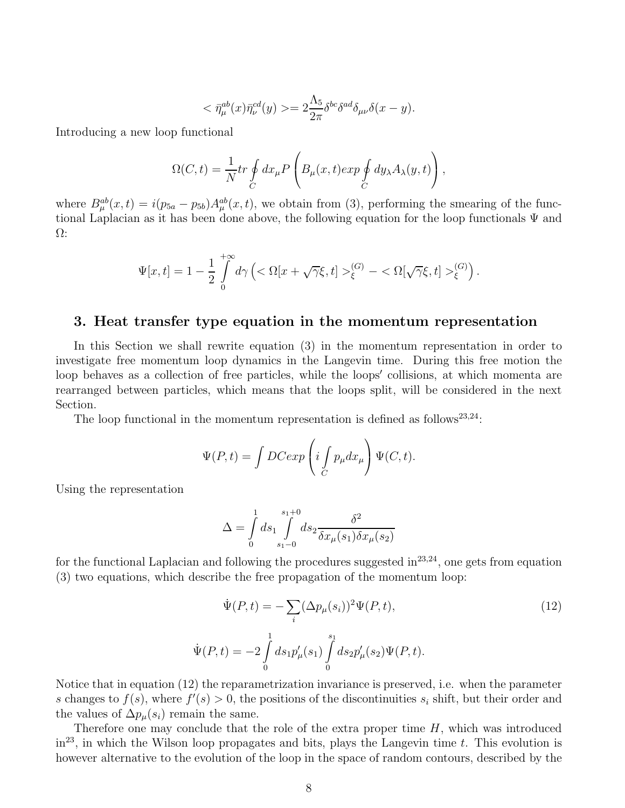$$
\langle \bar{\eta}_{\mu}^{ab}(x)\bar{\eta}_{\nu}^{cd}(y)\rangle = 2\frac{\Lambda_5}{2\pi}\delta^{bc}\delta^{ad}\delta_{\mu\nu}\delta(x-y).
$$

Introducing a new loop functional

$$
\Omega(C,t) = \frac{1}{N} tr \oint_C dx_\mu P\left(B_\mu(x,t) exp \oint_C dy_\lambda A_\lambda(y,t)\right),
$$

where  $B_{\mu}^{ab}(x,t) = i(p_{5a} - p_{5b})A_{\mu}^{ab}(x,t)$ , we obtain from (3), performing the smearing of the functional Laplacian as it has been done above, the following equation for the loop functionals  $\Psi$  and Ω:

$$
\Psi[x,t] = 1 - \frac{1}{2} \int_{0}^{+\infty} d\gamma \left( \langle \Omega[x + \sqrt{\gamma} \xi, t] \rangle_{\xi}^{(G)} - \langle \Omega[\sqrt{\gamma} \xi, t] \rangle_{\xi}^{(G)} \right).
$$

#### 3. Heat transfer type equation in the momentum representation

In this Section we shall rewrite equation (3) in the momentum representation in order to investigate free momentum loop dynamics in the Langevin time. During this free motion the loop behaves as a collection of free particles, while the loops′ collisions, at which momenta are rearranged between particles, which means that the loops split, will be considered in the next Section.

The loop functional in the momentum representation is defined as follows<sup>23,24</sup>:

$$
\Psi(P,t) = \int DCexp\left(i \int_C p_\mu dx_\mu\right) \Psi(C,t).
$$

Using the representation

$$
\Delta = \int_{0}^{1} ds_1 \int_{s_1-0}^{s_1+0} ds_2 \frac{\delta^2}{\delta x_\mu(s_1) \delta x_\mu(s_2)}
$$

for the functional Laplacian and following the procedures suggested in  $23,24$ , one gets from equation (3) two equations, which describe the free propagation of the momentum loop:

$$
\dot{\Psi}(P,t) = -\sum_{i} (\Delta p_{\mu}(s_i))^2 \Psi(P,t),
$$
\n
$$
\dot{\Psi}(P,t) = -2 \int_{0}^{1} ds_1 p'_{\mu}(s_1) \int_{0}^{s_1} ds_2 p'_{\mu}(s_2) \Psi(P,t).
$$
\n(12)

Notice that in equation (12) the reparametrization invariance is preserved, i.e. when the parameter s changes to  $f(s)$ , where  $f'(s) > 0$ , the positions of the discontinuities  $s_i$  shift, but their order and the values of  $\Delta p_{\mu}(s_i)$  remain the same.

Therefore one may conclude that the role of the extra proper time  $H$ , which was introduced  $\text{in}^{23}$ , in which the Wilson loop propagates and bits, plays the Langevin time t. This evolution is however alternative to the evolution of the loop in the space of random contours, described by the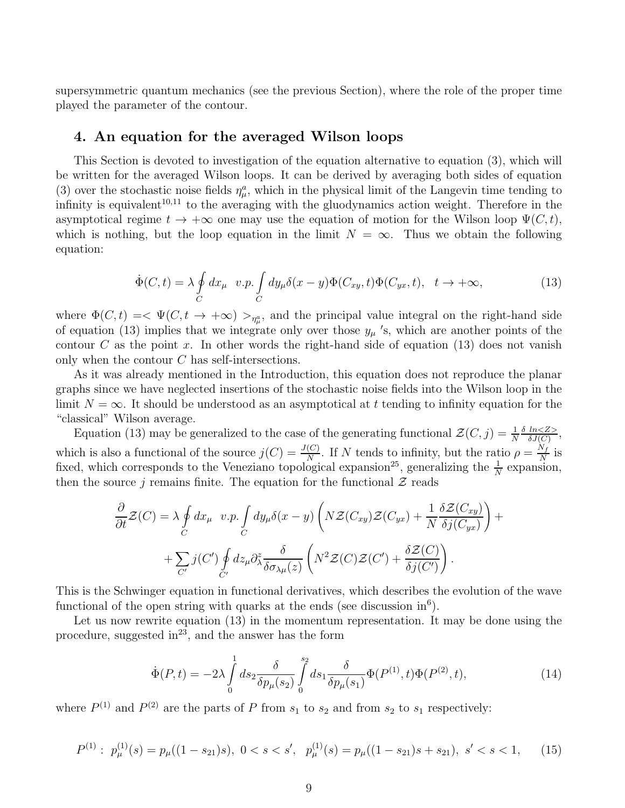supersymmetric quantum mechanics (see the previous Section), where the role of the proper time played the parameter of the contour.

### 4. An equation for the averaged Wilson loops

This Section is devoted to investigation of the equation alternative to equation (3), which will be written for the averaged Wilson loops. It can be derived by averaging both sides of equation (3) over the stochastic noise fields  $\eta^a_\mu$ , which in the physical limit of the Langevin time tending to infinity is equivalent<sup>10,11</sup> to the averaging with the gluodynamics action weight. Therefore in the asymptotical regime  $t \to +\infty$  one may use the equation of motion for the Wilson loop  $\Psi(C, t)$ , which is nothing, but the loop equation in the limit  $N = \infty$ . Thus we obtain the following equation:

$$
\dot{\Phi}(C,t) = \lambda \oint_C dx_\mu \quad v.p. \int_C dy_\mu \delta(x-y) \Phi(C_{xy},t) \Phi(C_{yx},t), \quad t \to +\infty,
$$
\n(13)

where  $\Phi(C, t) = \langle \Psi(C, t \to +\infty) \rangle_{\eta_{\mu}^a}$ , and the principal value integral on the right-hand side of equation (13) implies that we integrate only over those  $y_{\mu}$  's, which are another points of the contour C as the point x. In other words the right-hand side of equation  $(13)$  does not vanish only when the contour C has self-intersections.

As it was already mentioned in the Introduction, this equation does not reproduce the planar graphs since we have neglected insertions of the stochastic noise fields into the Wilson loop in the limit  $N = \infty$ . It should be understood as an asymptotical at t tending to infinity equation for the "classical" Wilson average.

Equation (13) may be generalized to the case of the generating functional  $\mathcal{Z}(C, j) = \frac{1}{N}$  $\delta$  ln $<$ Z $>$  $rac{ln<2>}{\delta J(C)},$ which is also a functional of the source  $j(C) = \frac{J(C)}{N}$ . If N tends to infinity, but the ratio  $\rho = \frac{N_f}{N}$  $\frac{N_f}{N}$  is fixed, which corresponds to the Veneziano topological expansion<sup>25</sup>, generalizing the  $\frac{1}{N}$  expansion, then the source j remains finite. The equation for the functional  $\mathcal{Z}$  reads

$$
\frac{\partial}{\partial t} \mathcal{Z}(C) = \lambda \oint_C dx_\mu \ v.p. \int_C dy_\mu \delta(x - y) \left( N \mathcal{Z}(C_{xy}) \mathcal{Z}(C_{yx}) + \frac{1}{N} \frac{\delta \mathcal{Z}(C_{xy})}{\delta j(C_{yx})} \right) + \n+ \sum_{C'} j(C') \oint_C dz_\mu \partial_\lambda^z \frac{\delta}{\delta \sigma_{\lambda \mu}(z)} \left( N^2 \mathcal{Z}(C) \mathcal{Z}(C') + \frac{\delta \mathcal{Z}(C)}{\delta j(C')} \right).
$$

This is the Schwinger equation in functional derivatives, which describes the evolution of the wave functional of the open string with quarks at the ends (see discussion  $\text{in}^6$ ).

Let us now rewrite equation (13) in the momentum representation. It may be done using the procedure, suggested  $in^{23}$ , and the answer has the form

$$
\dot{\Phi}(P,t) = -2\lambda \int_{0}^{1} ds_2 \frac{\delta}{\delta p_{\mu}(s_2)} \int_{0}^{s_2} ds_1 \frac{\delta}{\delta p_{\mu}(s_1)} \Phi(P^{(1)},t) \Phi(P^{(2)},t), \tag{14}
$$

where  $P^{(1)}$  and  $P^{(2)}$  are the parts of P from  $s_1$  to  $s_2$  and from  $s_2$  to  $s_1$  respectively:

$$
P^{(1)}: p_{\mu}^{(1)}(s) = p_{\mu}((1 - s_{21})s), \ 0 < s < s', \ p_{\mu}^{(1)}(s) = p_{\mu}((1 - s_{21})s + s_{21}), \ s' < s < 1,\tag{15}
$$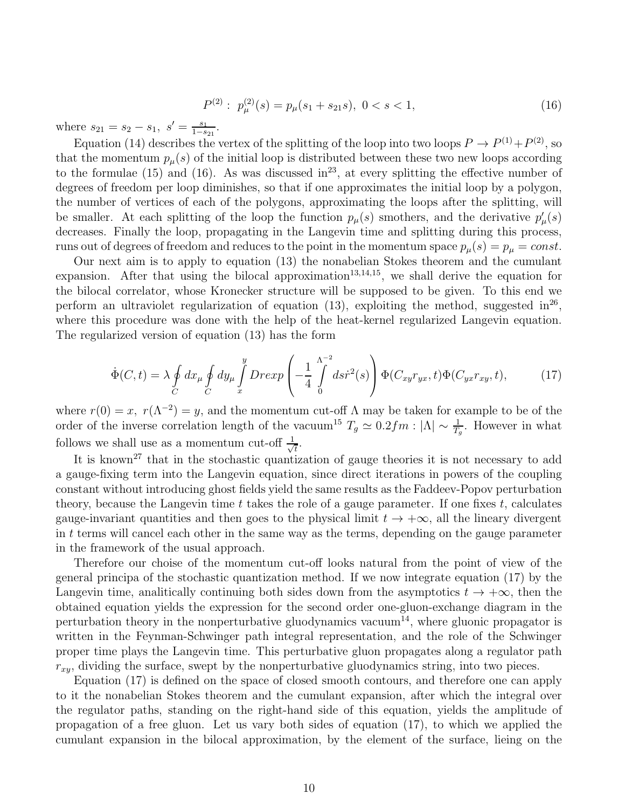$$
P^{(2)}: p_{\mu}^{(2)}(s) = p_{\mu}(s_1 + s_{21}s), \ 0 < s < 1,\tag{16}
$$

where  $s_{21} = s_2 - s_1, s' = \frac{s_1}{1-s}$  $\frac{s_1}{1-s_{21}}$ .

Equation (14) describes the vertex of the splitting of the loop into two loops  $P \to P^{(1)} + P^{(2)}$ , so that the momentum  $p_{\mu}(s)$  of the initial loop is distributed between these two new loops according to the formulae  $(15)$  and  $(16)$ . As was discussed in<sup>23</sup>, at every splitting the effective number of degrees of freedom per loop diminishes, so that if one approximates the initial loop by a polygon, the number of vertices of each of the polygons, approximating the loops after the splitting, will be smaller. At each splitting of the loop the function  $p_\mu(s)$  smothers, and the derivative  $p'_\mu(s)$ decreases. Finally the loop, propagating in the Langevin time and splitting during this process, runs out of degrees of freedom and reduces to the point in the momentum space  $p_{\mu}(s) = p_{\mu} = const.$ 

Our next aim is to apply to equation (13) the nonabelian Stokes theorem and the cumulant expansion. After that using the bilocal approximation<sup>13,14,15</sup>, we shall derive the equation for the bilocal correlator, whose Kronecker structure will be supposed to be given. To this end we perform an ultraviolet regularization of equation  $(13)$ , exploiting the method, suggested in<sup>26</sup>, where this procedure was done with the help of the heat-kernel regularized Langevin equation. The regularized version of equation (13) has the form

$$
\dot{\Phi}(C,t) = \lambda \oint_C dx_\mu \oint_C dy_\mu \int_x^y Dr \exp\left(-\frac{1}{4} \int_0^{\Lambda^{-2}} ds \dot{r}^2(s)\right) \Phi(C_{xy}r_{yx},t) \Phi(C_{yx}r_{xy},t),\tag{17}
$$

where  $r(0) = x$ ,  $r(\Lambda^{-2}) = y$ , and the momentum cut-off  $\Lambda$  may be taken for example to be of the order of the inverse correlation length of the vacuum<sup>15</sup>  $T_g \simeq 0.2 fm : |\Lambda| \sim \frac{1}{T_g}$ . However in what follows we shall use as a momentum cut-off  $\frac{1}{\sqrt{2}}$  $\overline{t}$ .

It is known<sup>27</sup> that in the stochastic quantization of gauge theories it is not necessary to add a gauge-fixing term into the Langevin equation, since direct iterations in powers of the coupling constant without introducing ghost fields yield the same results as the Faddeev-Popov perturbation theory, because the Langevin time  $t$  takes the role of a gauge parameter. If one fixes  $t$ , calculates gauge-invariant quantities and then goes to the physical limit  $t \to +\infty$ , all the lineary divergent in  $t$  terms will cancel each other in the same way as the terms, depending on the gauge parameter in the framework of the usual approach.

Therefore our choise of the momentum cut-off looks natural from the point of view of the general principa of the stochastic quantization method. If we now integrate equation (17) by the Langevin time, analitically continuing both sides down from the asymptotics  $t \to +\infty$ , then the obtained equation yields the expression for the second order one-gluon-exchange diagram in the perturbation theory in the nonperturbative gluodynamics vacuum<sup>14</sup>, where gluonic propagator is written in the Feynman-Schwinger path integral representation, and the role of the Schwinger proper time plays the Langevin time. This perturbative gluon propagates along a regulator path  $r_{xy}$ , dividing the surface, swept by the nonperturbative gluodynamics string, into two pieces.

Equation (17) is defined on the space of closed smooth contours, and therefore one can apply to it the nonabelian Stokes theorem and the cumulant expansion, after which the integral over the regulator paths, standing on the right-hand side of this equation, yields the amplitude of propagation of a free gluon. Let us vary both sides of equation (17), to which we applied the cumulant expansion in the bilocal approximation, by the element of the surface, lieing on the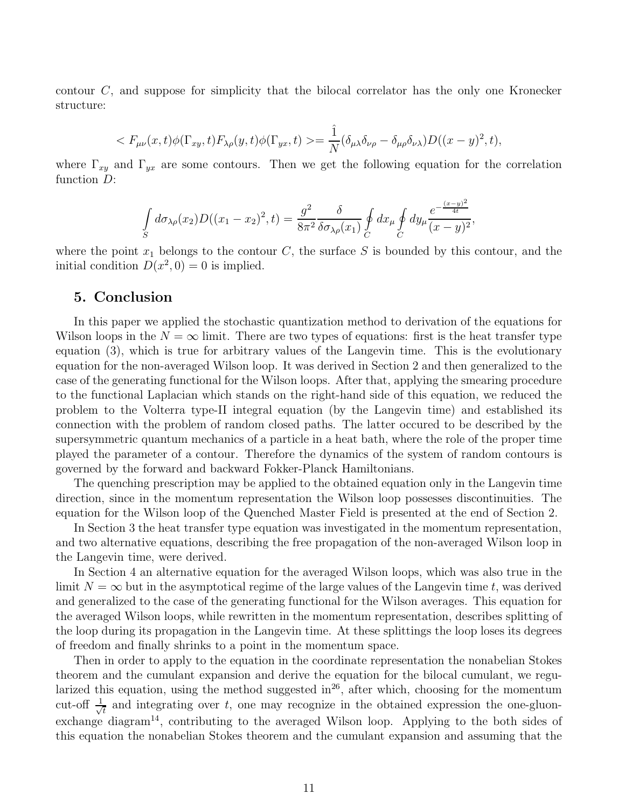contour C, and suppose for simplicity that the bilocal correlator has the only one Kronecker structure:

$$
\langle F_{\mu\nu}(x,t)\phi(\Gamma_{xy},t)F_{\lambda\rho}(y,t)\phi(\Gamma_{yx},t)\rangle=\frac{\hat{1}}{N}(\delta_{\mu\lambda}\delta_{\nu\rho}-\delta_{\mu\rho}\delta_{\nu\lambda})D((x-y)^2,t),
$$

where  $\Gamma_{xy}$  and  $\Gamma_{yx}$  are some contours. Then we get the following equation for the correlation function D:

$$
\int_{S} d\sigma_{\lambda\rho}(x_2) D((x_1 - x_2)^2, t) = \frac{g^2}{8\pi^2} \frac{\delta}{\delta \sigma_{\lambda\rho}(x_1)} \oint_C dx_\mu \oint_C dy_\mu \frac{e^{-\frac{(x-y)^2}{4t}}}{(x-y)^2},
$$

where the point  $x_1$  belongs to the contour C, the surface S is bounded by this contour, and the initial condition  $D(x^2, 0) = 0$  is implied.

#### 5. Conclusion

In this paper we applied the stochastic quantization method to derivation of the equations for Wilson loops in the  $N = \infty$  limit. There are two types of equations: first is the heat transfer type equation (3), which is true for arbitrary values of the Langevin time. This is the evolutionary equation for the non-averaged Wilson loop. It was derived in Section 2 and then generalized to the case of the generating functional for the Wilson loops. After that, applying the smearing procedure to the functional Laplacian which stands on the right-hand side of this equation, we reduced the problem to the Volterra type-II integral equation (by the Langevin time) and established its connection with the problem of random closed paths. The latter occured to be described by the supersymmetric quantum mechanics of a particle in a heat bath, where the role of the proper time played the parameter of a contour. Therefore the dynamics of the system of random contours is governed by the forward and backward Fokker-Planck Hamiltonians.

The quenching prescription may be applied to the obtained equation only in the Langevin time direction, since in the momentum representation the Wilson loop possesses discontinuities. The equation for the Wilson loop of the Quenched Master Field is presented at the end of Section 2.

In Section 3 the heat transfer type equation was investigated in the momentum representation, and two alternative equations, describing the free propagation of the non-averaged Wilson loop in the Langevin time, were derived.

In Section 4 an alternative equation for the averaged Wilson loops, which was also true in the limit  $N = \infty$  but in the asymptotical regime of the large values of the Langevin time t, was derived and generalized to the case of the generating functional for the Wilson averages. This equation for the averaged Wilson loops, while rewritten in the momentum representation, describes splitting of the loop during its propagation in the Langevin time. At these splittings the loop loses its degrees of freedom and finally shrinks to a point in the momentum space.

Then in order to apply to the equation in the coordinate representation the nonabelian Stokes theorem and the cumulant expansion and derive the equation for the bilocal cumulant, we regularized this equation, using the method suggested in<sup>26</sup>, after which, choosing for the momentum cut-off  $\frac{1}{\sqrt{2}}$  $\frac{1}{t}$  and integrating over t, one may recognize in the obtained expression the one-gluonexchange diagram<sup>14</sup>, contributing to the averaged Wilson loop. Applying to the both sides of this equation the nonabelian Stokes theorem and the cumulant expansion and assuming that the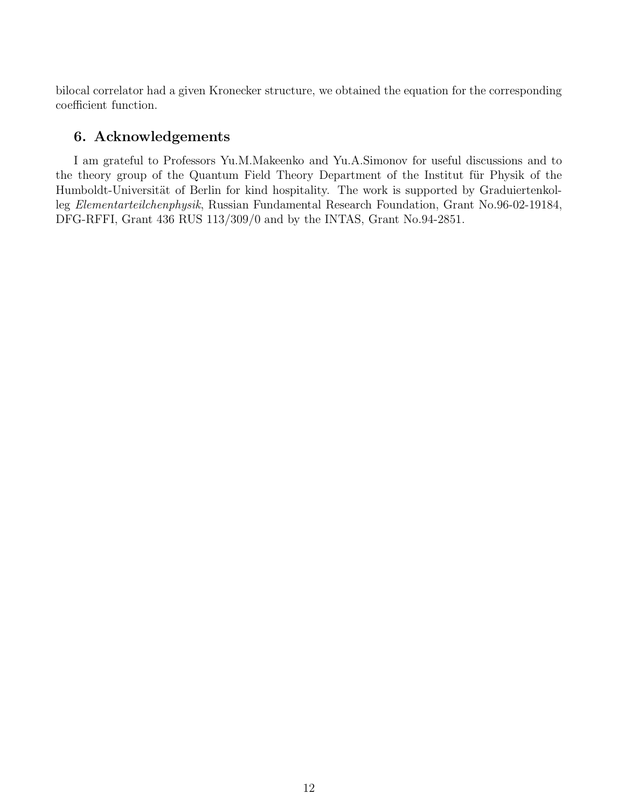bilocal correlator had a given Kronecker structure, we obtained the equation for the corresponding coefficient function.

# 6. Acknowledgements

I am grateful to Professors Yu.M.Makeenko and Yu.A.Simonov for useful discussions and to the theory group of the Quantum Field Theory Department of the Institut für Physik of the Humboldt-Universität of Berlin for kind hospitality. The work is supported by Graduiertenkolleg Elementarteilchenphysik, Russian Fundamental Research Foundation, Grant No.96-02-19184, DFG-RFFI, Grant 436 RUS 113/309/0 and by the INTAS, Grant No.94-2851.